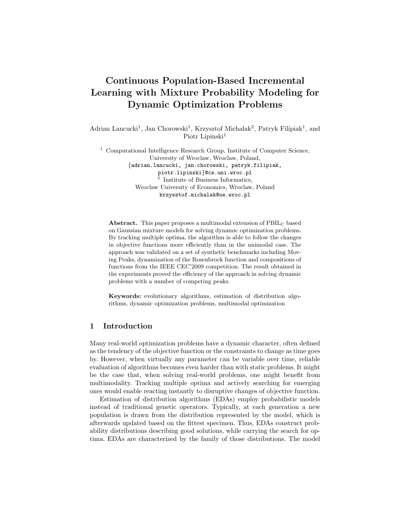# Continuous Population-Based Incremental Learning with Mixture Probability Modeling for Dynamic Optimization Problems

Adrian Lancucki<sup>1</sup>, Jan Chorowski<sup>1</sup>, Krzysztof Michalak<sup>2</sup>, Patryk Filipiak<sup>1</sup>, and Piotr Lipinski<sup>1</sup>

<sup>1</sup> Computational Intelligence Research Group, Institute of Computer Science, University of Wroclaw, Wroclaw, Poland, {adrian.lancucki, jan.chorowski, patryk.filipiak, piotr.lipinski}@cs.uni.wroc.pl 2 Institute of Business Informatics, Wroclaw University of Economics, Wroclaw, Poland krzysztof.michalak@ue.wroc.pl

Abstract. This paper proposes a multimodal extension of PBIL<sub>C</sub> based on Gaussian mixture models for solving dynamic optimization problems. By tracking multiple optima, the algorithm is able to follow the changes in objective functions more efficiently than in the unimodal case. The approach was validated on a set of synthetic benchmarks including Moving Peaks, dynamization of the Rosenbrock function and compositions of functions from the IEEE CEC'2009 competition. The result obtained in the experiments proved the efficiency of the approach in solving dynamic problems with a number of competing peaks.

Keywords: evolutionary algorithms, estimation of distribution algorithms, dynamic optimization problems, multimodal optimization

## 1 Introduction

Many real-world optimization problems have a dynamic character, often defined as the tendency of the objective function or the constraints to change as time goes by. However, when virtually any parameter can be variable over time, reliable evaluation of algorithms becomes even harder than with static problems. It might be the case that, when solving real-world problems, one might benefit from multimodality. Tracking multiple optima and actively searching for emerging ones would enable reacting instantly to disruptive changes of objective function.

Estimation of distribution algorithms (EDAs) employ probabilistic models instead of traditional genetic operators. Typically, at each generation a new population is drawn from the distribution represented by the model, which is afterwards updated based on the fittest specimen. Thus, EDAs construct probability distributions describing good solutions, while carrying the search for optima. EDAs are characterized by the family of those distributions. The model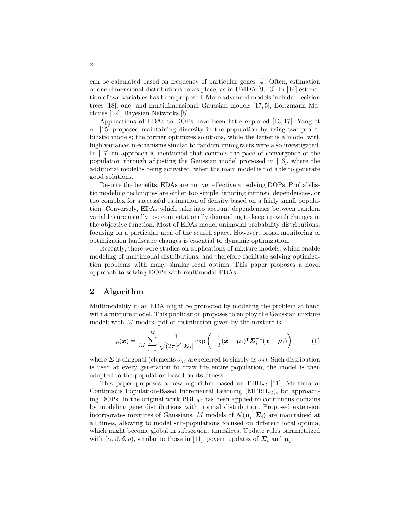can be calculated based on frequency of particular genes [4]. Often, estimation of one-dimensional distributions takes place, as in UMDA [9, 13]. In [14] estimation of two variables has been proposed. More advanced models include: decision trees [18], one- and multidimensional Gaussian models [17, 5], Boltzmann Machines [12], Bayesian Networks [8].

Applications of EDAs to DOPs have been little explored [13, 17]. Yang et al. [15] proposed maintaining diversity in the population by using two probabilistic models; the former optimizes solutions, while the latter is a model with high variance; mechanisms similar to random immigrants were also investigated. In [17] an approach is mentioned that controls the pace of convergence of the population through adjusting the Gaussian model proposed in [16], where the additional model is being activated, when the main model is not able to generate good solutions.

Despite the benefits, EDAs are not yet effective at solving DOPs. Probabilistic modeling techniques are either too simple, ignoring intrinsic dependencies, or too complex for successful estimation of density based on a fairly small population. Conversely, EDAs which take into account dependencies between random variables are usually too computationally demanding to keep up with changes in the objective function. Most of EDAs model unimodal probability distributions, focusing on a particular area of the search space. However, broad monitoring of optimization landscape changes is essential to dynamic optimization.

Recently, there were studies on applications of mixture models, which enable modeling of multimodal distributions, and therefore facilitate solving optimization problems with many similar local optima. This paper proposes a novel approach to solving DOPs with multimodal EDAs.

## 2 Algorithm

Multimodality in an EDA might be promoted by modeling the problem at hand with a mixture model. This publication proposes to employ the Gaussian mixture model; with M modes, pdf of distribution given by the mixture is

$$
p(\boldsymbol{x}) = \frac{1}{M} \sum_{i=1}^{M} \frac{1}{\sqrt{(2\pi)^{d} |\boldsymbol{\Sigma}_{i}|}} \exp\left(-\frac{1}{2}(\boldsymbol{x} - \boldsymbol{\mu}_{i})^{\mathsf{T}} \boldsymbol{\Sigma}_{i}^{-1}(\boldsymbol{x} - \boldsymbol{\mu}_{i})\right),\tag{1}
$$

where  $\Sigma$  is diagonal (elements  $\sigma_{ij}$  are referred to simply as  $\sigma_{ij}$ ). Such distribution is used at every generation to draw the entire population, the model is then adapted to the population based on its fitness.

This paper proposes a new algorithm based on  $\text{PBIL}_C$  [11], Multimodal Continuous Population-Based Incremental Learning ( $MPBIL<sub>C</sub>$ ), for approaching DOPs. In the original work  $PBIL<sub>C</sub>$  has been applied to continuous domains by modeling gene distributions with normal distribution. Proposed extension incorporates mixtures of Gaussians. M models of  $\mathcal{N}(\mu_i, \Sigma_i)$  are maintained at all times, allowing to model sub-populations focused on different local optima, which might become global in subsequent timeslices. Update rules parametrized with  $(\alpha, \beta, \delta, \rho)$ , similar to those in [11], govern updates of  $\Sigma_i$  and  $\mu_i$ :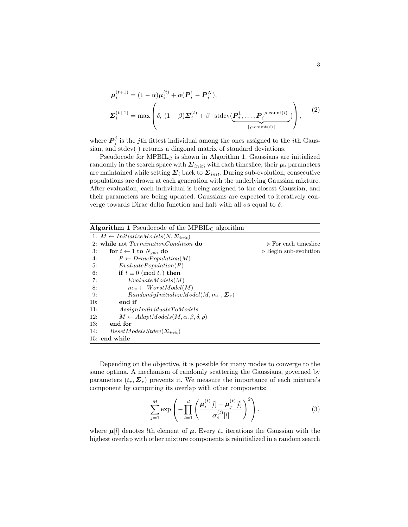$$
\boldsymbol{\mu}_{i}^{(t+1)} = (1 - \alpha)\boldsymbol{\mu}_{i}^{(t)} + \alpha(\boldsymbol{P}_{i}^{1} - \boldsymbol{P}_{i}^{N}),
$$
\n
$$
\boldsymbol{\Sigma}_{i}^{(t+1)} = \max\left(\delta, (1 - \beta)\boldsymbol{\Sigma}_{i}^{(t)} + \beta \cdot \text{stdev}(\underbrace{\boldsymbol{P}_{i}^{1}, \dots, \boldsymbol{P}_{i}^{[\rho \cdot \text{count}(i)]}}_{[\rho \cdot \text{count}(i)]})}\right),
$$
\n(2)

where  $\boldsymbol{P}_i^j$  is the *j*th fittest individual among the ones assigned to the *i*th Gaussian, and  $stdev(\cdot)$  returns a diagonal matrix of standard deviations.

Pseudocode for MPBIL<sup>C</sup> is shown in Algorithm 1. Gaussians are initialized randomly in the search space with  $\Sigma_{init}$ ; with each timeslice, their  $\mu_i$  parameters are maintained while setting  $\Sigma_i$  back to  $\Sigma_{init}$ . During sub-evolution, consecutive populations are drawn at each generation with the underlying Gaussian mixture. After evaluation, each individual is being assigned to the closest Gaussian, and their parameters are being updated. Gaussians are expected to iteratively converge towards Dirac delta function and halt with all  $\sigma s$  equal to  $\delta$ .

| <b>Algorithm 1</b> Pseudocode of the MPBIL <sub>C</sub> algorithm |                                      |
|-------------------------------------------------------------------|--------------------------------------|
| 1: $M \leftarrow InitializeModels(N, \Sigma_{init})$              |                                      |
| 2: while not <i>TerminationCondition</i> do                       | $\triangleright$ For each timeslice  |
| 3:<br>for $t \leftarrow 1$ to $N_{gen}$ do                        | $\triangleright$ Begin sub-evolution |
| $P \leftarrow DrawPopulation(M)$<br>4:                            |                                      |
| EvaluatePopulation(P)<br>5:                                       |                                      |
| if $t \equiv 0 \pmod{t_r}$ then<br>6:                             |                                      |
| Evaluate Models(M)<br>7:                                          |                                      |
| $m_w \leftarrow WorstModel(M)$<br>8:                              |                                      |
| $RandomlyInitializeModel(M, m_w, \Sigma_r)$<br>9:                 |                                      |
| end if<br>10:                                                     |                                      |
| AssignIndividualsToModels<br>11:                                  |                                      |
| $M \leftarrow AdaptModels(M, \alpha, \beta, \delta, \rho)$<br>12: |                                      |
| 13:<br>end for                                                    |                                      |
| $ResearchNodesStdev(\Sigma_{init})$<br>14:                        |                                      |
| 15: end while                                                     |                                      |

Depending on the objective, it is possible for many modes to converge to the same optima. A mechanism of randomly scattering the Gaussians, governed by parameters  $(t_r, \Sigma_r)$  prevents it. We measure the importance of each mixture's component by computing its overlap with other components:

$$
\sum_{j=1}^{M} \exp\left(-\prod_{l=1}^{d} \left(\frac{\mu_i^{(t)}[l] - \mu_j^{(t)}[l]}{\sigma_i^{(t)}[l]}\right)^2\right),\tag{3}
$$

where  $\mu[i]$  denotes *l*th element of  $\mu$ . Every  $t_r$  iterations the Gaussian with the highest overlap with other mixture components is reinitialized in a random search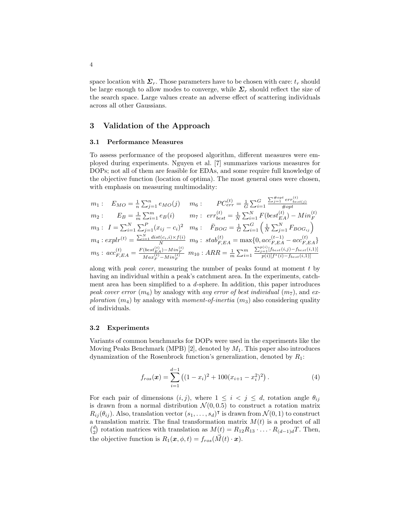space location with  $\Sigma_r$ . Those parameters have to be chosen with care:  $t_r$  should be large enough to allow modes to converge, while  $\Sigma_r$  should reflect the size of the search space. Large values create an adverse effect of scattering individuals across all other Gaussians.

## 3 Validation of the Approach

#### 3.1 Performance Measures

To assess performance of the proposed algorithm, different measures were employed during experiments. Nguyen et al. [7] summarizes various measures for DOPs; not all of them are feasible for EDAs, and some require full knowledge of the objective function (location of optima). The most general ones were chosen, with emphasis on measuring multimodality:

$$
m_1: E_{MO} = \frac{1}{n} \sum_{j=1}^{n} e_{MO}(j) \qquad m_6: P C_{err}^{(t)} = \frac{1}{G} \sum_{i=1}^{G} \frac{\sum_{j=1}^{x_{opt}} e_{rr}^{(t)}}{\# opt}
$$
  
\n
$$
m_2: E_B = \frac{1}{m} \sum_{i=1}^{m} e_B(i) \qquad m_7: err_{best}^{(t)} = \frac{1}{N} \sum_{i=1}^{N} F(best_{EA}^{(t)}) - Min_F^{(t)}
$$
  
\n
$$
m_3: I = \sum_{i=1}^{N} \sum_{j=1}^{P} (x_{ij} - c_i)^2 \qquad m_8: F_{BOG} = \frac{1}{G} \sum_{i=1}^{G} \left(\frac{1}{N} \sum_{j=1}^{N} F_{BOG_{ij}}\right)
$$
  
\n
$$
m_4: explr^{(t)} = \frac{\sum_{i=1}^{N} dist(c_i, i) \times f(i)}{N} \qquad m_9: stab_{F,EA}^{(t)} = \max\{0, acc_{F,EA}^{(t-1)} - acc_{F,EA}^{(t)}\}
$$
  
\n
$$
m_5: acc_{F,EA}^{(t)} = \frac{F(best_{EA}^{(t)}) - Min_F^{(t)}}{Max_F^{(t)} - Min_F^{(t)}} \qquad m_{10}: ARR = \frac{1}{m} \sum_{i=1}^{m} \frac{\sum_{j=1}^{n} [f_{best}(i, j) - f_{best}(i, 1)]}{p(i)[f^*(i) - f_{best}(i, 1)]}
$$

along with peak cover, measuring the number of peaks found at moment t by having an individual within a peak's catchment area. In the experiments, catchment area has been simplified to a  $d$ -sphere. In addition, this paper introduces peak cover error  $(m_6)$  by analogy with avg error of best individual  $(m_7)$ , and exploration  $(m_4)$  by analogy with moment-of-inertia  $(m_3)$  also considering quality of individuals.

#### 3.2 Experiments

Variants of common benchmarks for DOPs were used in the experiments like the Moving Peaks Benchmark (MPB) [2], denoted by  $M_1$ . This paper also introduces dynamization of the Rosenbrock function's generalization, denoted by  $R_1$ :

$$
f_{ros}(\boldsymbol{x}) = \sum_{i=1}^{d-1} ((1 - x_i)^2 + 100(x_{i+1} - x_i^2)^2).
$$
 (4)

For each pair of dimensions  $(i, j)$ , where  $1 \leq i \leq j \leq d$ , rotation angle  $\theta_{ij}$ is drawn from a normal distribution  $\mathcal{N}(0, 0.5)$  to construct a rotation matrix  $R_{ij}(\theta_{ij})$ . Also, translation vector  $(s_1,\ldots,s_d)$ <sup>T</sup> is drawn from  $\mathcal{N}(0,1)$  to construct a translation matrix. The final transformation matrix  $M(t)$  is a product of all  $\binom{d}{2}$  rotation matrices with translation as  $M(t) = R_{12}R_{13} \cdot \ldots \cdot R_{(d-1)d}T$ . Then, the objective function is  $R_1(\boldsymbol{x}, \phi, t) = f_{ros}(\vec{M}(t) \cdot \boldsymbol{x}).$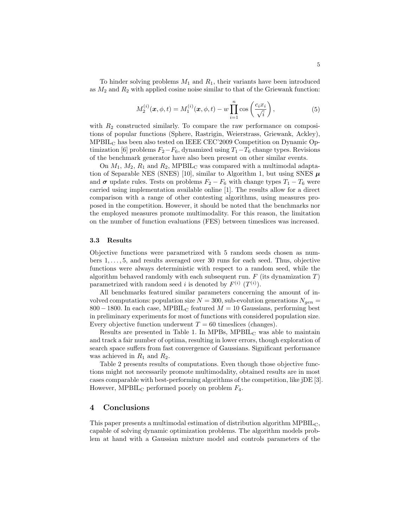To hinder solving problems  $M_1$  and  $R_1$ , their variants have been introduced as  $M_2$  and  $R_2$  with applied cosine noise similar to that of the Griewank function:

$$
M_2^{(i)}(\mathbf{x}, \phi, t) = M_1^{(i)}(\mathbf{x}, \phi, t) - w \prod_{i=1}^n \cos\left(\frac{c_i x_i}{\sqrt{i}}\right),\tag{5}
$$

with  $R_2$  constructed similarly. To compare the raw performance on compositions of popular functions (Sphere, Rastrigin, Weierstrass, Griewank, Ackley), MPBIL<sup>C</sup> has been also tested on IEEE CEC'2009 Competition on Dynamic Optimization [6] problems  $F_2-F_6$ , dynamized using  $T_1-T_6$  change types. Revisions of the benchmark generator have also been present on other similar events.

On  $M_1$ ,  $M_2$ ,  $R_1$  and  $R_2$ , MPBIL<sub>C</sub> was compared with a multimodal adaptation of Separable NES (SNES) [10], similar to Algorithm 1, but using SNES  $\mu$ and  $\sigma$  update rules. Tests on problems  $F_2 - F_6$  with change types  $T_1 - T_6$  were carried using implementation available online [1]. The results allow for a direct comparison with a range of other contesting algorithms, using measures proposed in the competition. However, it should be noted that the benchmarks nor the employed measures promote multimodality. For this reason, the limitation on the number of function evaluations (FES) between timeslices was increased.

#### 3.3 Results

Objective functions were parametrized with 5 random seeds chosen as numbers 1, . . . , 5, and results averaged over 30 runs for each seed. Thus, objective functions were always deterministic with respect to a random seed, while the algorithm behaved randomly with each subsequent run.  $F$  (its dynamization  $T$ ) parametrized with random seed *i* is denoted by  $F^{(i)}$   $(T^{(i)})$ .

All benchmarks featured similar parameters concerning the amount of involved computations: population size  $N = 300$ , sub-evolution generations  $N_{gen} =$ 800 − 1800. In each case, MPBIL<sub>C</sub> featured  $M = 10$  Gaussians, performing best in preliminary experiments for most of functions with considered population size. Every objective function underwent  $T = 60$  timeslices (changes).

Results are presented in Table 1. In MPBs,  $MPBIL<sub>C</sub>$  was able to maintain and track a fair number of optima, resulting in lower errors, though exploration of search space suffers from fast convergence of Gaussians. Significant performance was achieved in  $R_1$  and  $R_2$ .

Table 2 presents results of computations. Even though those objective functions might not necessarily promote multimodality, obtained results are in most cases comparable with best-performing algorithms of the competition, like jDE [3]. However, MPBIL<sub>C</sub> performed poorly on problem  $F_4$ .

## 4 Conclusions

This paper presents a multimodal estimation of distribution algorithm MPBILC, capable of solving dynamic optimization problems. The algorithm models problem at hand with a Gaussian mixture model and controls parameters of the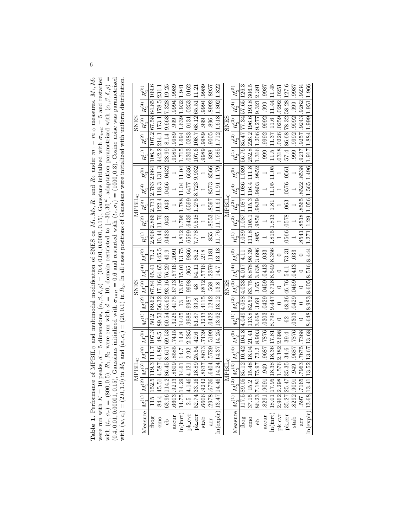**Table 1.** Performance of MPBIL<sub>C</sub> and multimodal modification of SNES on  $M_1, M_2, R_1$  and  $R_2$  under  $m_1 - m_1$  measures.  $M_1, M_2$  were run with  $K = 10$  peaks,  $d = 5$  dimensions,  $(\alpha, \beta, \delta, \rho) = (0.4, 0.01, 0.0001, 0.15)$ Table 1. Performance of MPBIL<sub>C</sub> and multimodal modification of SNES on M<sub>1</sub>, M<sub>2</sub>, M<sub>2</sub> and R<sub>2</sub> under  $m_1 - m_{10}$  measures. M<sub>1</sub>, M<sub>2</sub>, M<sub>2</sub> and R<sub>2</sub> under  $m_1 - m_{10}$  measures. M<sub>1</sub>, M<sub>2</sub> were run with  $K = 10$  peaks,  $d = 5$  dimensions,  $(\alpha, \beta, \delta, \rho) = (0.4, 0.01, 0.0001, 0.15)$ , Gaussians initialized with  $\sigma_{init} = 5$  and restarted with  $\sigma_{init} = 5$  and restarted with  $\sigma_{init} = 5$  and restarted with  $\sigma_{init} = 6$  and with  $(t_r, \sigma_r) = (800, 0.5)$ . R<sub>1</sub>, R<sub>2</sub> were run with  $d = 10$ , domain restricted to  $[-30, 30]^d$ , adaptation parametrized with  $(\alpha, \beta, \delta, \rho) =$  $(0.4, 0.01, 0.100001, 0.15)$ , Gaussians initialized with  $\sigma_{init} = 0.6$  and restarted with  $(t_r, \sigma_i) = (1000, 0.3)$ . Cosine noise was parametrized with  $(w, c_i) = (2.0, 1.0)$  in  $M_2$  and  $(w, c_i) = (20, 0.1)$  in  $R_2$ . In all cases positions of Gaussians were initialized with uniform distribution.

| $R_{\rm i}^{(5)}$                                                                                               |                                                                                                    |                                                               |                                                                                                  |                                                 | 1.941                             |                                              |                                         |                   |                             |                                                                                                                                                                                                                                                                                                                                |                                                                                                                                                                                           | $R_2^{(5)}$                                                                                                                    |                                     |                                                                               |                                       | <b>L866</b> :                               |                                                                                                                                                                                                                                   |                                    |                         |                          |                                                                                                  | 1.966                                          |
|-----------------------------------------------------------------------------------------------------------------|----------------------------------------------------------------------------------------------------|---------------------------------------------------------------|--------------------------------------------------------------------------------------------------|-------------------------------------------------|-----------------------------------|----------------------------------------------|-----------------------------------------|-------------------|-----------------------------|--------------------------------------------------------------------------------------------------------------------------------------------------------------------------------------------------------------------------------------------------------------------------------------------------------------------------------|-------------------------------------------------------------------------------------------------------------------------------------------------------------------------------------------|--------------------------------------------------------------------------------------------------------------------------------|-------------------------------------|-------------------------------------------------------------------------------|---------------------------------------|---------------------------------------------|-----------------------------------------------------------------------------------------------------------------------------------------------------------------------------------------------------------------------------------|------------------------------------|-------------------------|--------------------------|--------------------------------------------------------------------------------------------------|------------------------------------------------|
| $R^{(4)}_1$                                                                                                     |                                                                                                    |                                                               |                                                                                                  | 886. 1566. 1666.                                |                                   |                                              |                                         | 6866   1666   666 | 896 8992 8957               | 1.618 1.802 1.822                                                                                                                                                                                                                                                                                                              |                                                                                                                                                                                           | $\mid R_{\gamma}^{(4)}\mid$                                                                                                    |                                     |                                                                               |                                       |                                             |                                                                                                                                                                                                                                   |                                    |                         |                          |                                                                                                  |                                                |
| $\mid R_{1}^{(3)}\mid$<br><b>SNES</b>                                                                           |                                                                                                    |                                                               |                                                                                                  |                                                 |                                   |                                              |                                         |                   |                             |                                                                                                                                                                                                                                                                                                                                | <b>SNES</b>                                                                                                                                                                               | $\left  R_{2}^{(3)}\right $                                                                                                    |                                     |                                                                               |                                       |                                             |                                                                                                                                                                                                                                   |                                    |                         |                          |                                                                                                  |                                                |
|                                                                                                                 |                                                                                                    |                                                               |                                                                                                  | 9989.9989                                       | 1.715 1.694 1.639 1.932           | $0.0303$ $0.0283$ $0.0131$ $0.0253$ $0.0162$ | 107.6 108.7 68.12 65.51 11.21           | .9989.9989        | $.898$ $ .9005$             |                                                                                                                                                                                                                                                                                                                                |                                                                                                                                                                                           | $R_2^{(1)} \mid R_2^{(2)} \mid$                                                                                                |                                     |                                                                               | 1.316 1.206 9.277 9.321 2.391         | $\sim$ 0.66   266   266   266               | 11.37 11.6 11.44 11.45                                                                                                                                                                                                            | $0318$ $0226$ $0259$ $0292$ $0251$ | 86.68 78.32 58.28 127.6 | 7866   666   7666   7666 | $0.9237$ $0.9257$ $0.9243$ $0.9262$ $0.9234$                                                     |                                                |
| $R^{(1)}_1 \mathbin  R^{(2)}_1$                                                                                 |                                                                                                    |                                                               | 28.99 8.14 9.668 7.328 19.25                                                                     |                                                 |                                   |                                              |                                         |                   |                             |                                                                                                                                                                                                                                                                                                                                |                                                                                                                                                                                           |                                                                                                                                | 56.76 85.47 77.34 57.65 126.3       |                                                                               |                                       | $-999$                                      | 11.5                                                                                                                                                                                                                              |                                    | 57.4                    | $-999$                   |                                                                                                  | 1.917 1.884 1.999 1.951                        |
|                                                                                                                 |                                                                                                    |                                                               |                                                                                                  |                                                 |                                   |                                              |                                         |                   |                             |                                                                                                                                                                                                                                                                                                                                |                                                                                                                                                                                           |                                                                                                                                |                                     | 111.8   105.1   115.3   116.4   111.8   252.8   226.2   196.6   193.8   306.5 |                                       |                                             | 11.05                                                                                                                                                                                                                             |                                    |                         |                          |                                                                                                  |                                                |
| $\mid R_{1}^{(2)} \mid R_{1}^{(3)} \mid R_{1}^{(4)} \mid R_{1}^{(5)}$                                           |                                                                                                    |                                                               | $.0433$   $.043$   $.043$   $.0466$   $.0432$                                                    |                                                 |                                   |                                              |                                         |                   | 855  8553  8597  8573  8566 |                                                                                                                                                                                                                                                                                                                                | MPBIL <sub>C</sub>                                                                                                                                                                        | $R^{(1)}_2 \left  \right. R^{(2)}_2 \left. \right  R^{(3)}_2 \left  \right. R^{(4)}_2 \left  \right. R^{(5)}_2 \left  \right.$ | $1.089$ $ 1.087 1.087 1.086 1.089 $ |                                                                               | $.9856$ $.9839$ $.9803$ $.9852$       |                                             | 11.05                                                                                                                                                                                                                             |                                    | .0576 .0561             |                          | .8541 .8518 .8565 .8522 .8538                                                                    |                                                |
| MPBIL <sub>C</sub>                                                                                              |                                                                                                    |                                                               |                                                                                                  |                                                 |                                   |                                              |                                         |                   |                             |                                                                                                                                                                                                                                                                                                                                |                                                                                                                                                                                           |                                                                                                                                |                                     |                                                                               |                                       |                                             | $1.81\,$                                                                                                                                                                                                                          |                                    | .063                    |                          |                                                                                                  |                                                |
|                                                                                                                 |                                                                                                    |                                                               |                                                                                                  |                                                 |                                   |                                              |                                         |                   |                             |                                                                                                                                                                                                                                                                                                                                |                                                                                                                                                                                           |                                                                                                                                |                                     |                                                                               |                                       |                                             |                                                                                                                                                                                                                                   |                                    |                         |                          |                                                                                                  |                                                |
| $R_1^{(1)}$ $\mid$                                                                                              | $2.806$   $2.866$   $2.731$   $2.763$   $2.664$    $106.7$   $107.2$   $67.58$   $64.85$   $109.6$ | $10.44 11.76 122.4 118.3 131.3 442.2 214.1 173.1 178.5 231.1$ |                                                                                                  |                                                 | 1.812 1.796 1.788 11.04 11.04     | 6599   6439   6599   6477   6636             | $7.778$ $9.518$ $1.275$ $8.723$ $9.932$ |                   |                             | 11.76 11.77 11.61 11.91 11.79 1.685 1.712                                                                                                                                                                                                                                                                                      |                                                                                                                                                                                           |                                                                                                                                |                                     |                                                                               | .985                                  |                                             | 1.815 1.813                                                                                                                                                                                                                       |                                    | $.0566$ $.0578$         |                          |                                                                                                  | $1.271$   $1.29$   $1.056$   $1.565$   $1.496$ |
|                                                                                                                 |                                                                                                    | $89.53   56.32   17.16   64.65   145.5  $                     |                                                                                                  |                                                 |                                   | 3986.  398.  3998.  3998.  3866.             |                                         | .218              |                             | 14.7 13.18                                                                                                                                                                                                                                                                                                                     |                                                                                                                                                                                           |                                                                                                                                |                                     |                                                                               |                                       |                                             |                                                                                                                                                                                                                                   |                                    |                         | .033                     | $\circ$                                                                                          |                                                |
|                                                                                                                 |                                                                                                    |                                                               |                                                                                                  |                                                 |                                   |                                              |                                         | <b>912</b> °      |                             |                                                                                                                                                                                                                                                                                                                                | Measure $ M_2^{(1)} M_2^{(2)} M_2^{(3)} M_2^{(4)} M_2^{(5)} M_2^{(5)} M_2^{(2)} M_2^{(2)} M_2^{(3)} M_2^{(4)} M_2^{(5)}$<br>Thog [117.5] 89.05] 85.12] 10.42] 104 8    4 04014 00014 0001 |                                                                                                                                |                                     |                                                                               |                                       |                                             |                                                                                                                                                                                                                                   |                                    | 54.1 73.31              | .0413                    | $\circ$                                                                                          |                                                |
| <b>SNES</b>                                                                                                     |                                                                                                    |                                                               |                                                                                                  |                                                 |                                   |                                              | 48   54.11   85.2                       |                   | .568   .2379   .1181        | 13.8                                                                                                                                                                                                                                                                                                                           |                                                                                                                                                                                           |                                                                                                                                |                                     |                                                                               |                                       |                                             |                                                                                                                                                                                                                                   |                                    |                         |                          | $\circ$                                                                                          |                                                |
|                                                                                                                 | $69.62$ 67.84 45.41 73.2                                                                           |                                                               |                                                                                                  |                                                 |                                   |                                              |                                         |                   |                             |                                                                                                                                                                                                                                                                                                                                |                                                                                                                                                                                           |                                                                                                                                |                                     |                                                                               |                                       |                                             |                                                                                                                                                                                                                                   |                                    | 48.36 46.76             | $.0429$ $.0459$          |                                                                                                  |                                                |
| $\bigl \, M_1^{(1)}\,\bigr \, M_1^{(2)}\,\bigr \, M_1^{(3)}\,\bigr \, M_1^{(4)}\,\bigr \, M_1^{(5)}$            | 50.2                                                                                               |                                                               | 60.54 55.62 93.16 76.29 49.9                                                                     | $(3225 \mid 4175 \mid 6713 \mid 5716 \mid 2091$ | $ 14.05 $ 13 $ 13.67 15.01 13.75$ |                                              | 51.87 39.8                              | .3233 .4115 .6812 | $.0422 \, 1242$             | 13.62 13.12                                                                                                                                                                                                                                                                                                                    |                                                                                                                                                                                           |                                                                                                                                |                                     | 113.8 82.52 83.75 8.878 98.39                                                 | $3.668$ $3.69$ $3.65$ $3.638$ $3.696$ | $0.0303$ $0.0429$ $0.0459$ $0.0413$ $0.033$ | $5 18.38 18.36 17.81  8.798 9.447 8.718 8.549 8.356$                                                                                                                                                                              |                                    | 62                      | .0303                    | $\circ$                                                                                          | 8.648 8.983 8.605 8.516 8.444                  |
|                                                                                                                 |                                                                                                    | 48.5                                                          | 69.53                                                                                            |                                                 |                                   |                                              |                                         |                   |                             |                                                                                                                                                                                                                                                                                                                                |                                                                                                                                                                                           |                                                                                                                                |                                     |                                                                               |                                       |                                             |                                                                                                                                                                                                                                   |                                    |                         |                          |                                                                                                  |                                                |
|                                                                                                                 |                                                                                                    |                                                               |                                                                                                  |                                                 |                                   |                                              |                                         |                   |                             |                                                                                                                                                                                                                                                                                                                                |                                                                                                                                                                                           |                                                                                                                                |                                     |                                                                               |                                       |                                             |                                                                                                                                                                                                                                   |                                    |                         |                          |                                                                                                  |                                                |
| MPBIL <sub>C</sub>                                                                                              | .5 119.3 111.7 107.3                                                                               | $114.587$ 41.86                                               | 2 86.45 8.617                                                                                    |                                                 |                                   |                                              |                                         |                   |                             |                                                                                                                                                                                                                                                                                                                                |                                                                                                                                                                                           |                                                                                                                                |                                     |                                                                               |                                       |                                             |                                                                                                                                                                                                                                   |                                    |                         |                          |                                                                                                  |                                                |
|                                                                                                                 |                                                                                                    |                                                               |                                                                                                  |                                                 |                                   |                                              |                                         |                   |                             |                                                                                                                                                                                                                                                                                                                                |                                                                                                                                                                                           |                                                                                                                                |                                     |                                                                               |                                       |                                             |                                                                                                                                                                                                                                   |                                    |                         |                          |                                                                                                  |                                                |
|                                                                                                                 |                                                                                                    |                                                               | $\begin{array}{ c c } \hline 115 & 152.5 \\ 84.4 & 45.51 \\ 63.96 & 114.2 \\ \hline \end{array}$ |                                                 |                                   |                                              |                                         |                   |                             |                                                                                                                                                                                                                                                                                                                                |                                                                                                                                                                                           |                                                                                                                                |                                     |                                                                               |                                       |                                             |                                                                                                                                                                                                                                   |                                    |                         |                          |                                                                                                  |                                                |
| $\text{Measure} \left  M_1^{(1)} \right  M_1^{(2)} \left  M_1^{(3)} \right  M_1^{(4)} \left  M_1^{(5)} \right $ | fbog                                                                                               | emo                                                           | eb                                                                                               |                                                 |                                   |                                              |                                         |                   |                             | $\begin{tabular}{ l c c c } \hline \text{accur} & $.6603$ & $.9213$ & $.8609$ & $.8585$ & $.7415$ & $.33\hline \text{In (intr)} & $14.75$ & $14.29$ & $14.61$ & $14.7$ & $14.8$ & $14\hline \text{p}k\_cvr$ & $2.5$ & $4.146$ & $4.121$ & $2.92$ & $2.285$ & $.9\hline \text{p}k\_err$ & $52.74$ & $33.16$ & $18.89$ & $25.54$ |                                                                                                                                                                                           |                                                                                                                                |                                     |                                                                               |                                       |                                             | emo   37.15   15.2   15.48   18.04   21.41    11:<br>eb   86.23   7.18   75.97   73.2   8.903   3.4<br>accur   8291   9091   949   9687   7876   0<br>  In(inrt)   18.01   17.95   18.38   18.36   17.81   8.<br>  pk.cvr   2.962 |                                    |                         |                          | arr   .597   .7165   .7963   .7675   .7368  <br>h(explr)   13.68   13.41   13.52   13.67   13.68 |                                                |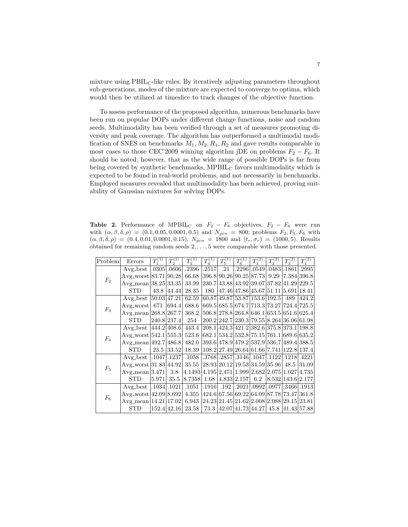mixture using  $\text{PBIL}_{\text{C}}$ -like rules. By iteratively adjusting parameters throughout sub-generations, modes of the mixture are expected to converge to optima, which would then be utilized at timeslice to track changes of the objective function.

To assess performance of the proposed algorithm, numerous benchmarks have been run on popular DOPs under different change functions, noise and random seeds. Multimodality has been verified through a set of measures promoting diversity and peak coverage. The algorithm has outperformed a multimodal modification of SNES on benchmarks  $M_1, M_2, R_1, R_2$  and gave results comparable in most cases to those CEC'2009 winning algorithm jDE on problems  $F_2 - F_6$ . It should be noted, however, that as the wide range of possible DOPs is far from being covered by synthetic benchmarks,  $MPBIL<sub>C</sub>$  favors multimodality which is expected to be found in real-world problems, and not necessarily in benchmarks. Employed measures revealed that multimodality has been achieved, proving suitability of Gaussian mixtures for solving DOPs.

Table 2. Performance of MPBIL<sub>C</sub> on  $F_2 - F_6$  objectives.  $F_2 - F_6$  were run with  $(\alpha, \beta, \delta, \rho) = (0.1, 0.05, 0.0001, 0.5)$  and  $N_{gen} = 800$ ; problems  $F_2, F_5, F_6$  with  $(\alpha, \beta, \delta, \rho) = (0.4, 0.01, 0.0001, 0.15), N_{gen} = 1800 \text{ and } (t_r, \sigma_r) = (1000, 5).$  Results obtained for remaining random seeds  $2, \ldots, 5$  were comparable with those presented.

| Problem | Errors                                                                                   | $T_1^{(1)}$ | $T_2^{(1)}$ | $T_3^{(1)}$                                                     | $T_4^{(1)}$ | $T_5^{(1)}$ | $T_6^{(1)}$ | $T_1^{(2)}$ | $T_2^{(2)}$ | $T_3^{(2)}$                                  | $T^{(2)}_4$                                   |
|---------|------------------------------------------------------------------------------------------|-------------|-------------|-----------------------------------------------------------------|-------------|-------------|-------------|-------------|-------------|----------------------------------------------|-----------------------------------------------|
| $F_2$   | $Avg\_best$   .0305   .0606                                                              |             |             | .2396 .2517 .21 .2296 .0549 .0483 .1861 .2995                   |             |             |             |             |             |                                              |                                               |
|         | Avg_worst 83.71 90.28 66.68 396.8 90.26 90.25 87.73 9.29 7.384 396.8                     |             |             |                                                                 |             |             |             |             |             |                                              |                                               |
|         | Avg_mean $ 38.25 33.35 $                                                                 |             |             | 33.99                                                           |             |             |             |             |             | $ 230.7 43.88 43.92 39.07 37.82 41.29 229.5$ |                                               |
|         | <b>STD</b>                                                                               |             | 43.8 44.44  | $28.35 \, \, 180$                                               |             |             |             |             |             | 47.46 47.86 45.67 51.11 5.691 18.41          |                                               |
| $F_3$   | Avg.best $ 50.03 47.21 $ 62.59 $ 60.87 49.87 53.87 153.6 192.5 $ 489 $ 424.2 $           |             |             |                                                                 |             |             |             |             |             |                                              |                                               |
|         | Avg_worst  671   694.4   688.6   669.5   685.5   674.7   713.3   73.27   724.4   725.5   |             |             |                                                                 |             |             |             |             |             |                                              |                                               |
|         | $Avg\_mean$ [268.8 [267.7]                                                               |             |             | 368.2                                                           |             |             |             |             |             | $ 506.8 278.8 264.8 646.1 653.5 651.6 625.4$ |                                               |
|         | <b>STD</b>                                                                               |             | 240.8 237.4 | 254                                                             |             |             |             |             |             |                                              | $ 200.2 242.7 230.3 79.55 8.264 36.06 61.98 $ |
| $F_4$   | Avg_best  444.2 408.6  443.4  208.1 424.3 421.2 382.6 375.8 373.1 198.8                  |             |             |                                                                 |             |             |             |             |             |                                              |                                               |
|         | Avg_worst [542.1 [555.3] 523.6 [682.1 [534.2 [532.8] 75.15 [761.1 [689.6] 635.2          |             |             |                                                                 |             |             |             |             |             |                                              |                                               |
|         | Avg_mean 492.7 486.8 482.0 393.6 478.9 479.2 537.9 536.7 489.4 388.5                     |             |             |                                                                 |             |             |             |             |             |                                              |                                               |
|         | <b>STD</b>                                                                               |             | 23.5 33.52  | 18.39   108.2   27.49   26.64   61.66   7.741   122.8   137.4   |             |             |             |             |             |                                              |                                               |
| $F_5$   | Avg_best  .1047 .1237 .1058  .3768 .2857 .3146 .1047 .1122 .1218 .4221                   |             |             |                                                                 |             |             |             |             |             |                                              |                                               |
|         | Avg_worst 31.83 44.92 35.55 28.93 20.12 19.53 34.59 35.96 48.5 31.09                     |             |             |                                                                 |             |             |             |             |             |                                              |                                               |
|         | $Avg_mean 3.471 $                                                                        |             | 3.8         | $ 4.1493 4.195 2.471 1.999 2.682 2.075 1.027 4.735$             |             |             |             |             |             |                                              |                                               |
|         | <b>STD</b>                                                                               | 5.971       | 35.5        | $ 8.7358 $ 1.68 $ 4.833 2.157 $ 6.2 $ 8.532 143.6 2.177$        |             |             |             |             |             |                                              |                                               |
| $\,F_6$ | Avg_best  .1034 .1021  .1051  .1916  .192  .2021 .0992 .0977 .3466 .1913                 |             |             |                                                                 |             |             |             |             |             |                                              |                                               |
|         | Avg_worst $ 42.09 8.692 4.355 424.6 67.56 69.22 64.09 87.78 73.47 361.8$                 |             |             |                                                                 |             |             |             |             |             |                                              |                                               |
|         | Avg_mean   14.21   17.02   6.943   24.23   21.45   21.62   2.008   2.088   29.15   23.81 |             |             |                                                                 |             |             |             |             |             |                                              |                                               |
|         | <b>STD</b>                                                                               |             |             | 152.4 42.16  23.58   73.3  42.07 41.73 44.27  45.8  41.43 57.88 |             |             |             |             |             |                                              |                                               |